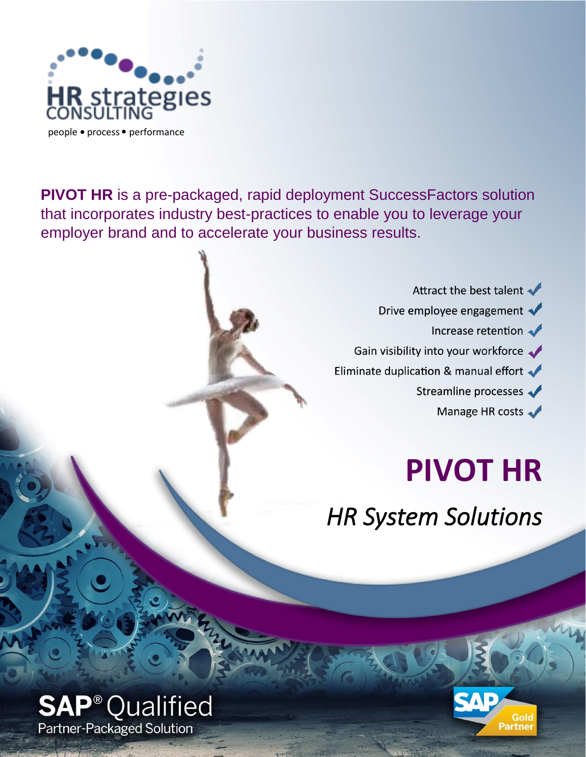

**PIVOT HR** is a pre-packaged, rapid deployment SuccessFactors solution that incorporates industry best-practices to enable you to leverage your employer brand and to accelerate your business results.

> Attract the best talent Drive employee engagement  $\blacklozenge$ Increase retention Gain visibility into your workforce Eliminate duplication & manual effort Streamline processes Manage HR costs

# **PIVOT HR**

*HR System Solutions* 



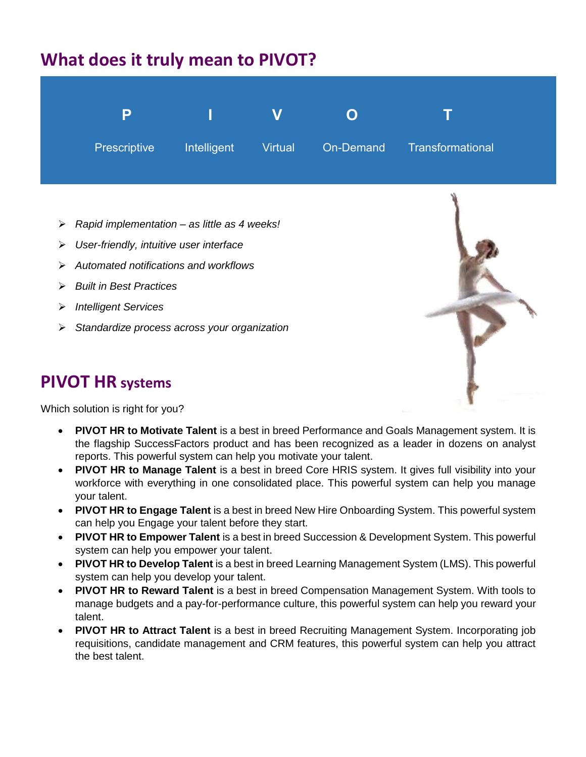## **What does it truly mean to PIVOT?**



- ➢ *Rapid implementation – as little as 4 weeks!*
- ➢ *User-friendly, intuitive user interface*
- ➢ *Automated notifications and workflows*
- ➢ *Built in Best Practices*
- ➢ *Intelligent Services*
- ➢ *Standardize process across your organization*

### **PIVOT HR systems**



Which solution is right for you?

- **PIVOT HR to Motivate Talent** is a best in breed Performance and Goals Management system. It is the flagship SuccessFactors product and has been recognized as a leader in dozens on analyst reports. This powerful system can help you motivate your talent.
- **PIVOT HR to Manage Talent** is a best in breed Core HRIS system. It gives full visibility into your workforce with everything in one consolidated place. This powerful system can help you manage your talent.
- **PIVOT HR to Engage Talent** is a best in breed New Hire Onboarding System. This powerful system can help you Engage your talent before they start.
- **PIVOT HR to Empower Talent** is a best in breed Succession & Development System. This powerful system can help you empower your talent.
- **PIVOT HR to Develop Talent** is a best in breed Learning Management System (LMS). This powerful system can help you develop your talent.
- **PIVOT HR to Reward Talent** is a best in breed Compensation Management System. With tools to manage budgets and a pay-for-performance culture, this powerful system can help you reward your talent.
- **PIVOT HR to Attract Talent** is a best in breed Recruiting Management System. Incorporating job requisitions, candidate management and CRM features, this powerful system can help you attract the best talent.